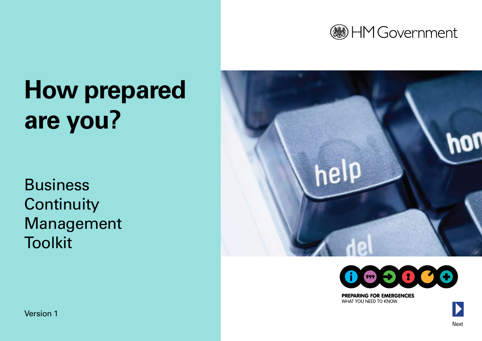

# **How prepared are you?**

Business **Continuity** Management **Toolkit** 





**PREPARING FOR EMERGENCIES** WHAT YOU NEED TO KNOW

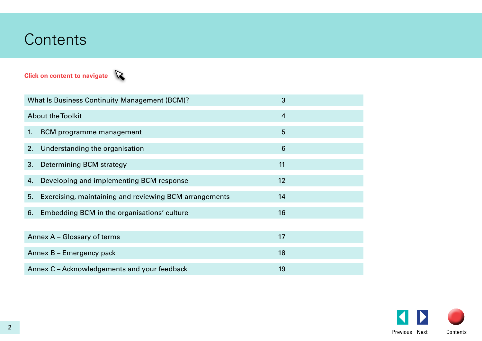## **Contents**

## **Click on content to navigate**



| What Is Business Continuity Management (BCM)? |                                                        | 3              |  |
|-----------------------------------------------|--------------------------------------------------------|----------------|--|
| <b>About the Toolkit</b>                      |                                                        | $\overline{4}$ |  |
| 1.                                            | BCM programme management                               | 5              |  |
|                                               | 2. Understanding the organisation                      | 6              |  |
| 3.                                            | Determining BCM strategy                               | 11             |  |
| 4.                                            | Developing and implementing BCM response               | 12             |  |
| 5.                                            | Exercising, maintaining and reviewing BCM arrangements | 14             |  |
| 6.                                            | Embedding BCM in the organisations' culture            | 16             |  |
|                                               |                                                        |                |  |
| Annex A - Glossary of terms                   |                                                        | 17             |  |
| Annex B - Emergency pack                      |                                                        | 18             |  |
| Annex C – Acknowledgements and your feedback  |                                                        | 19             |  |

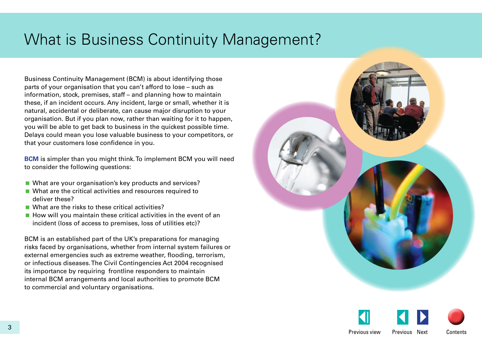## <span id="page-2-0"></span>What is Business Continuity Management?

Business Continuity Management (BCM) is about identifying those parts of your organisation that you can't afford to lose – such as information, stock, premises, staff – and planning how to maintain these, if an incident occurs. Any incident, large or small, whether it is natural, accidental or deliberate, can cause major disruption to your organisation. But if you plan now, rather than waiting for it to happen, you will be able to get back to business in the quickest possible time. Delays could mean you lose valuable business to your competitors, or that your customers lose confidence in you.

**BCM** is simpler than you might think. To implement BCM you will need to consider the following questions:

- What are your organisation's key products and services?
- What are the critical activities and resources required to deliver these?
- What are the risks to these critical activities?
- $\blacksquare$  How will you maintain these critical activities in the event of an incident (loss of access to premises, loss of utilities etc)?

BCM is an established part of the UK's preparations for managing risks faced by organisations, whether from internal system failures or external emergencies such as extreme weather, flooding, terrorism, or infectious diseases. The Civil Contingencies Act 2004 recognised its importance by requiring frontline responders to maintain internal BCM arrangements and local authorities to promote BCM to commercial and voluntary organisations.



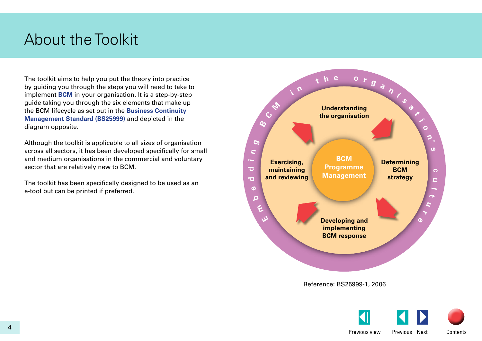## <span id="page-3-0"></span>About the Toolkit

The toolkit aims to help you put the theory into practice by guiding you through the steps you will need to take to implement **BCM** in your organisation. It is a step-by-step guide taking you through the six elements that make up the BCM lifecycle as set out in the **Business Continuity Management Standard (BS25999)** and depicted in the diagram opposite.

Although the toolkit is applicable to all sizes of organisation across all sectors, it has been developed specifically for small and medium organisations in the commercial and voluntary sector that are relatively new to BCM.

The toolkit has been specifically designed to be used as an e-tool but can be printed if preferred.



Reference: BS25999-1, 2006

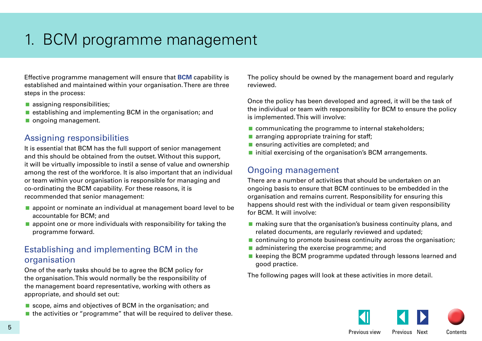## <span id="page-4-0"></span>1. BCM programme management

Effective programme management will ensure that **BCM** capability is established and maintained within your organisation. There are three steps in the process:

- **assigning responsibilities;**
- **E** establishing and implementing BCM in the organisation; and
- ongoing management.

## Assigning responsibilities

It is essential that BCM has the full support of senior management and this should be obtained from the outset. Without this support, it will be virtually impossible to instil a sense of value and ownership among the rest of the workforce. It is also important that an individual or team within your organisation is responsible for managing and co-ordinating the BCM capability. For these reasons, it is recommended that senior management:

- **a** appoint or nominate an individual at management board level to be accountable for BCM; and
- $\blacksquare$  appoint one or more individuals with responsibility for taking the programme forward.

## Establishing and implementing BCM in the organisation

One of the early tasks should be to agree the BCM policy for the organisation. This would normally be the responsibility of the management board representative, working with others as appropriate, and should set out:

- scope, aims and objectives of BCM in the organisation; and
- $\blacksquare$  the activities or "programme" that will be required to deliver these.

The policy should be owned by the management board and regularly reviewed.

Once the policy has been developed and agreed, it will be the task of the individual or team with responsibility for BCM to ensure the policy is implemented. This will involve:

- **Communicating the programme to internal stakeholders;**
- $\blacksquare$  arranging appropriate training for staff;
- **E** ensuring activities are completed; and
- **n** initial exercising of the organisation's BCM arrangements.

## Ongoing management

There are a number of activities that should be undertaken on an ongoing basis to ensure that BCM continues to be embedded in the organisation and remains current. Responsibility for ensuring this happens should rest with the individual or team given responsibility for BCM. It will involve:

- $\blacksquare$  making sure that the organisation's business continuity plans, and related documents, are regularly reviewed and updated;
- continuing to promote business continuity across the organisation;
- $\blacksquare$  administering the exercise programme; and
- $\blacksquare$  keeping the BCM programme updated through lessons learned and good practice.

The following pages will look at these activities in more detail.

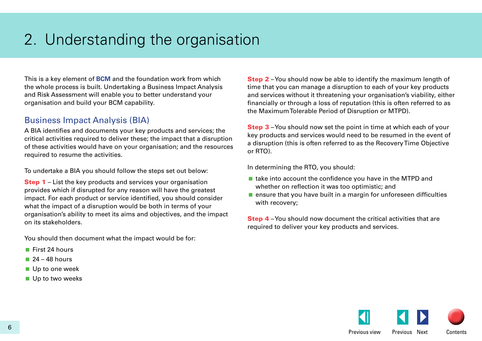## <span id="page-5-0"></span>2. Understanding the organisation

This is a key element of **BCM** and the foundation work from which the whole process is built. Undertaking a Business Impact Analysis and Risk Assessment will enable you to better understand your organisation and build your BCM capability.

## Business Impact Analysis (BIA)

A BIA identifies and documents your key products and services; the critical activities required to deliver these; the impact that a disruption of these activities would have on your organisation; and the resources required to resume the activities.

To undertake a BIA you should follow the steps set out below:

**Step 1** – List the key products and services your organisation provides which if disrupted for any reason will have the greatest impact. For each product or service identified, you should consider what the impact of a disruption would be both in terms of your organisation's ability to meet its aims and objectives, and the impact on its stakeholders.

You should then document what the impact would be for:

- $\blacksquare$  First 24 hours
- $24 48$  hours
- Up to one week
- Up to two weeks

**Step 2** – You should now be able to identify the maximum length of time that you can manage a disruption to each of your key products and services without it threatening your organisation's viability, either financially or through a loss of reputation (this is often referred to as the Maximum Tolerable Period of Disruption or MTPD).

Step 3 – You should now set the point in time at which each of your key products and services would need to be resumed in the event of a disruption (this is often referred to as the Recovery Time Objective or RTO).

In determining the RTO, you should:

- $\blacksquare$  take into account the confidence you have in the MTPD and whether on reflection it was too optimistic; and
- **E** ensure that you have built in a margin for unforeseen difficulties with recovery;

**Step 4** – You should now document the critical activities that are required to deliver your key products and services.

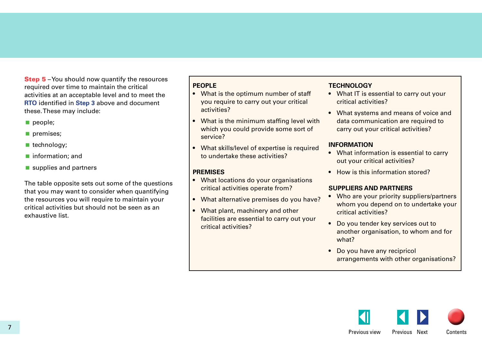<span id="page-6-0"></span>**Step 5** – You should now quantify the resources required over time to maintain the critical activities at an acceptable level and to meet the **RTO** identified in **[Step 3](#page-5-0)** above and document these. These may include:

- people:
- premises;
- technology;
- **n** information; and
- supplies and partners

The table opposite sets out some of the questions that you may want to consider when quantifying the resources you will require to maintain your critical activities but should not be seen as an exhaustive list.

## **PEOPLE**

- What is the optimum number of staff you require to carry out your critical activities?
- What is the minimum staffing level with which you could provide some sort of service?
- What skills/level of expertise is required to undertake these activities?

## **PREMISES**

- What locations do your organisations critical activities operate from?
- What alternative premises do you have?
- What plant, machinery and other facilities are essential to carry out your critical activities?

## **TECHNOLOGY**

- What IT is essential to carry out your critical activities?
- What systems and means of voice and data communication are required to carry out your critical activities?

## **INFORMATION**

- What information is essential to carry out your critical activities?
- How is this information stored?

## **SUPPLIERS AND PARTNERS**

- Who are your priority suppliers/partners whom you depend on to undertake your critical activities?
- Do you tender key services out to another organisation, to whom and for what?
- Do you have any recipricol arrangements with other organisations?

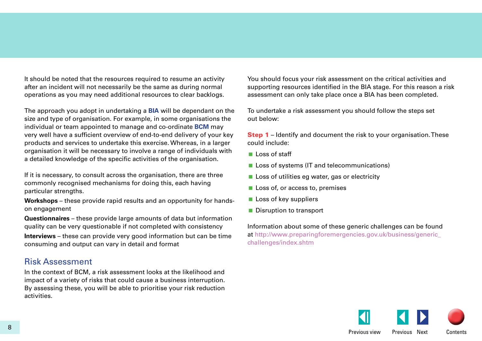It should be noted that the resources required to resume an activity after an incident will not necessarily be the same as during normal operations as you may need additional resources to clear backlogs.

The approach you adopt in undertaking a **BIA** will be dependant on the size and type of organisation. For example, in some organisations the individual or team appointed to manage and co-ordinate **BCM** may very well have a sufficient overview of end-to-end delivery of your key products and services to undertake this exercise. Whereas, in a larger organisation it will be necessary to involve a range of individuals with a detailed knowledge of the specific activities of the organisation.

If it is necessary, to consult across the organisation, there are three commonly recognised mechanisms for doing this, each having particular strengths.

**Workshops** – these provide rapid results and an opportunity for handson engagement

**Questionnaires** – these provide large amounts of data but information quality can be very questionable if not completed with consistency

**Interviews** – these can provide very good information but can be time consuming and output can vary in detail and format

## Risk Assessment

In the context of BCM, a risk assessment looks at the likelihood and impact of a variety of risks that could cause a business interruption. By assessing these, you will be able to prioritise your risk reduction activities.

You should focus your risk assessment on the critical activities and supporting resources identified in the BIA stage. For this reason a risk assessment can only take place once a BIA has been completed.

To undertake a risk assessment you should follow the steps set out below:

**Step 1** – Identify and document the risk to your organisation. These could include:

- $\blacksquare$  Loss of staff
- **Loss of systems (IT and telecommunications)**
- $\blacksquare$  Loss of utilities eg water, gas or electricity
- **Loss of, or access to, premises**
- $\blacksquare$  Loss of key suppliers
- Disruption to transport

Information about some of these generic challenges can be found [at http://www.preparingforemergencies.gov.uk/business/generic\\_](http://www.preparingforemergencies.gov.uk/business/generic_challenges/index.shtm) challenges/index.shtm

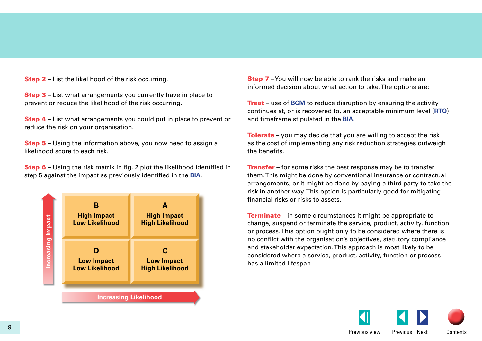**Step 2** – List the likelihood of the risk occurring.

Step 3 – List what arrangements you currently have in place to prevent or reduce the likelihood of the risk occurring.

Step 4 – List what arrangements you could put in place to prevent or reduce the risk on your organisation.

**Step 5** – Using the information above, you now need to assign a likelihood score to each risk.

Step 6 – Using the risk matrix in fig. 2 plot the likelihood identified in step 5 against the impact as previously identified in the **BIA**.



**Step 7** – You will now be able to rank the risks and make an informed decision about what action to take. The options are:

**Treat** – use of **BCM** to reduce disruption by ensuring the activity continues at, or is recovered to, an acceptable minimum level (**RTO**) and timeframe stipulated in the **BIA**.

**Tolerate** – you may decide that you are willing to accept the risk as the cost of implementing any risk reduction strategies outweigh the benefits.

**Transfer** – for some risks the best response may be to transfer them. This might be done by conventional insurance or contractual arrangements, or it might be done by paying a third party to take the risk in another way. This option is particularly good for mitigating financial risks or risks to assets.

**Terminate** – in some circumstances it might be appropriate to change, suspend or terminate the service, product, activity, function or process. This option ought only to be considered where there is no conflict with the organisation's objectives, statutory compliance and stakeholder expectation. This approach is most likely to be considered where a service, product, activity, function or process has a limited lifespan.

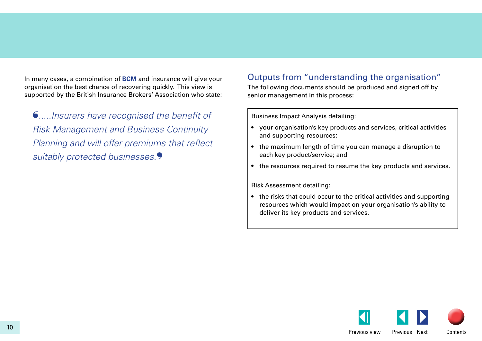In many cases, a combination of **BCM** and insurance will give your organisation the best chance of recovering quickly. This view is supported by the British Insurance Brokers' Association who state:

❛*.....Insurers have recognised the benefit of Risk Management and Business Continuity Planning and will offer premiums that reflect*  suitably protected businesses.<sup>9</sup>

## Outputs from "understanding the organisation"

The following documents should be produced and signed off by senior management in this process:

Business Impact Analysis detailing:

- • your organisation's key products and services, critical activities and supporting resources;
- the maximum length of time you can manage a disruption to each key product/service; and
- the resources required to resume the key products and services.

Risk Assessment detailing:

• the risks that could occur to the critical activities and supporting resources which would impact on your organisation's ability to deliver its key products and services.

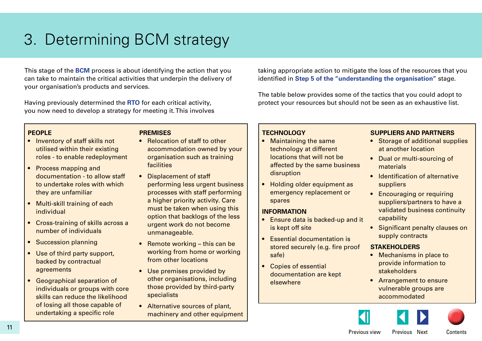## <span id="page-10-0"></span>3. Determining BCM strategy

This stage of the **BCM** process is about identifying the action that you can take to maintain the critical activities that underpin the delivery of your organisation's products and services.

Having previously determined the **RTO** for each critical activity, you now need to develop a strategy for meeting it. This involves taking appropriate action to mitigate the loss of the resources that you identified in **[Step 5 of the "understanding the organisation"](#page-6-0)** stage.

The table below provides some of the tactics that you could adopt to protect your resources but should not be seen as an exhaustive list.

## **PEOPLE**

- Inventory of staff skills not utilised within their existing roles - to enable redeployment
- Process mapping and documentation - to allow staff to undertake roles with which they are unfamiliar
- Multi-skill training of each individual
- Cross-training of skills across a number of individuals
- Succession planning
- Use of third party support, backed by contractual agreements
- • Geographical separation of individuals or groups with core skills can reduce the likelihood of losing all those capable of undertaking a specific role

## **PREMISES**

- Relocation of staff to other accommodation owned by your organisation such as training facilities
- Displacement of staff performing less urgent business processes with staff performing a higher priority activity. Care must be taken when using this option that backlogs of the less urgent work do not become unmanageable.
- Remote working  $-$  this can be working from home or working from other locations
- Use premises provided by other organisations, including those provided by third-party specialists
- Alternative sources of plant, machinery and other equipment

## **TECHNOLOGY**

- Maintaining the same technology at different locations that will not be affected by the same business disruption
- Holding older equipment as emergency replacement or spares

## **INFORMATION**

- Ensure data is backed-up and it is kept off site
- Essential documentation is stored securely (e.g. fire proof safe)
- **Copies of essential** documentation are kept elsewhere

## **SUPPLIERS AND PARTNERS**

- Storage of additional supplies at another location
- Dual or multi-sourcing of materials
- Identification of alternative suppliers
- Encouraging or requiring suppliers/partners to have a validated business continuity capability
- Significant penalty clauses on supply contracts

## **STAKEHOLDERS**

- Mechanisms in place to provide information to stakeholders
- Arrangement to ensure vulnerable groups are accommodated







Previous view Previous Next Contents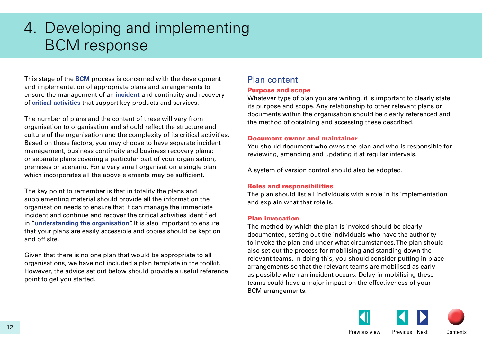## <span id="page-11-0"></span>4. Developing and implementing BCM response

This stage of the **BCM** process is concerned with the development and implementation of appropriate plans and arrangements to ensure the management of an **incident** and continuity and recovery of **critical activities** that support key products and services.

The number of plans and the content of these will vary from organisation to organisation and should reflect the structure and culture of the organisation and the complexity of its critical activities. Based on these factors, you may choose to have separate incident management, business continuity and business recovery plans; or separate plans covering a particular part of your organisation, premises or scenario. For a very small organisation a single plan which incorporates all the above elements may be sufficient.

The key point to remember is that in totality the plans and supplementing material should provide all the information the organisation needs to ensure that it can manage the immediate incident and continue and recover the critical activities identified in "**[understanding the organisation](#page-5-0)**". It is also important to ensure that your plans are easily accessible and copies should be kept on and off site.

Given that there is no one plan that would be appropriate to all organisations, we have not included a plan template in the toolkit. However, the advice set out below should provide a useful reference point to get you started.

## Plan content

### Purpose and scope

Whatever type of plan you are writing, it is important to clearly state its purpose and scope. Any relationship to other relevant plans or documents within the organisation should be clearly referenced and the method of obtaining and accessing these described.

### Document owner and maintainer

You should document who owns the plan and who is responsible for reviewing, amending and updating it at regular intervals.

A system of version control should also be adopted.

### Roles and responsibilities

The plan should list all individuals with a role in its implementation and explain what that role is.

### Plan invocation

The method by which the plan is invoked should be clearly documented, setting out the individuals who have the authority to invoke the plan and under what circumstances. The plan should also set out the process for mobilising and standing down the relevant teams. In doing this, you should consider putting in place arrangements so that the relevant teams are mobilised as early as possible when an incident occurs. Delay in mobilising these teams could have a major impact on the effectiveness of your BCM arrangements.

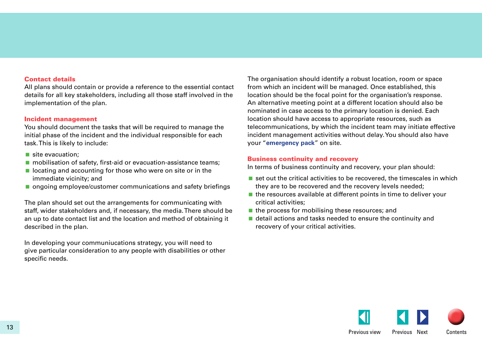### Contact details

All plans should contain or provide a reference to the essential contact details for all key stakeholders, including all those staff involved in the implementation of the plan.

### Incident management

You should document the tasks that will be required to manage the initial phase of the incident and the individual responsible for each task. This is likely to include:

- site evacuation:
- **n** mobilisation of safety, first-aid or evacuation-assistance teams;
- $\blacksquare$  locating and accounting for those who were on site or in the immediate vicinity; and
- **n** ongoing employee/customer communications and safety briefings

The plan should set out the arrangements for communicating with staff, wider stakeholders and, if necessary, the media. There should be an up to date contact list and the location and method of obtaining it described in the plan.

In developing your communiucations strategy, you will need to give particular consideration to any people with disabilities or other specific needs.

The organisation should identify a robust location, room or space from which an incident will be managed. Once established, this location should be the focal point for the organisation's response. An alternative meeting point at a different location should also be nominated in case access to the primary location is denied. Each location should have access to appropriate resources, such as telecommunications, by which the incident team may initiate effective incident management activities without delay. You should also have your "**[emergency pack](#page-17-0)**" on site.

### Business continuity and recovery

In terms of business continuity and recovery, your plan should:

- $\blacksquare$  set out the critical activities to be recovered, the timescales in which they are to be recovered and the recovery levels needed;
- $\blacksquare$  the resources available at different points in time to deliver your critical activities;
- $\blacksquare$  the process for mobilising these resources; and
- detail actions and tasks needed to ensure the continuity and recovery of your critical activities.

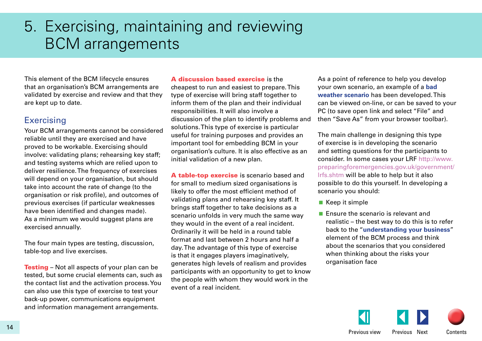## <span id="page-13-0"></span>5. Exercising, maintaining and reviewing BCM arrangements

This element of the BCM lifecycle ensures that an organisation's BCM arrangements are validated by exercise and review and that they are kept up to date.

## **Exercising**

Your BCM arrangements cannot be considered reliable until they are exercised and have proved to be workable. Exercising should involve: validating plans; rehearsing key staff; and testing systems which are relied upon to deliver resilience. The frequency of exercises will depend on your organisation, but should take into account the rate of change (to the organisation or risk profile), and outcomes of previous exercises (if particular weaknesses have been identified and changes made). As a minimum we would suggest plans are exercised annually.

The four main types are testing, discussion, table-top and live exercises.

**Testing** – Not all aspects of your plan can be tested, but some crucial elements can, such as the contact list and the activation process. You can also use this type of exercise to test your back-up power, communications equipment and information management arrangements.

#### A discussion based exercise is the

cheapest to run and easiest to prepare. This type of exercise will bring staff together to inform them of the plan and their individual responsibilities. It will also involve a discussion of the plan to identify problems and solutions. This type of exercise is particular useful for training purposes and provides an important tool for embedding BCM in your organisation's culture. It is also effective as an initial validation of a new plan.

A table-top exercise is scenario based and for small to medium sized organisations is likely to offer the most efficient method of validating plans and rehearsing key staff. It brings staff together to take decisions as a scenario unfolds in very much the same way they would in the event of a real incident. Ordinarily it will be held in a round table format and last between 2 hours and half a day. The advantage of this type of exercise is that it engages players imaginatively, generates high levels of realism and provides participants with an opportunity to get to know the people with whom they would work in the event of a real incident.

As a point of reference to help you develop your own scenario, an example of a **[bad](http://www.preparingforemergencies.gov.uk/bcadvice/exercise_scenario.ppt)  [weather scenario](http://www.preparingforemergencies.gov.uk/bcadvice/exercise_scenario.ppt)** has been developed. This can be viewed on-line, or can be saved to your PC (to save open link and select "File" and then "Save As" from your browser toolbar).

The main challenge in designing this type of exercise is in developing the scenario and setting questions for the participants to consider. In some cases your LRF [http://www.](http://www.preparingforemergencies.gov.uk/government/lrfs.shtm) [preparingforemergencies.gov.uk/government/](http://www.preparingforemergencies.gov.uk/government/lrfs.shtm) [lrfs.shtm](http://www.preparingforemergencies.gov.uk/government/lrfs.shtm) will be able to help but it also possible to do this yourself. In developing a scenario you should:

- $\blacksquare$  Keep it simple
- **Ensure the scenario is relevant and** realistic – the best way to do this is to refer back to the "**[understanding your business](#page-5-0)**" element of the BCM process and think about the scenarios that you considered when thinking about the risks your organisation face

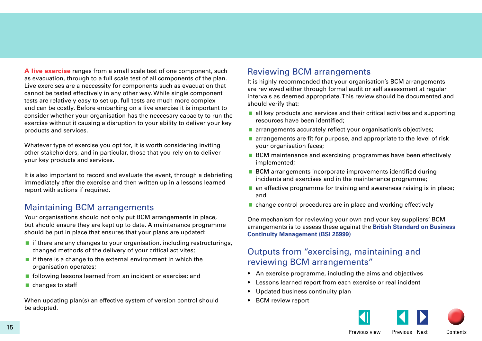A live exercise ranges from a small scale test of one component, such as evacuation, through to a full scale test of all components of the plan. Live exercises are a neccessity for components such as evacuation that cannot be tested effectively in any other way. While single component tests are relatively easy to set up, full tests are much more complex and can be costly. Before embarking on a live exercise it is important to consider whether your organisation has the neccesary capacity to run the exercise without it causing a disruption to your ability to deliver your key products and services.

Whatever type of exercise you opt for, it is worth considering inviting other stakeholders, and in particular, those that you rely on to deliver your key products and services.

It is also important to record and evaluate the event, through a debriefing immediately after the exercise and then written up in a lessons learned report with actions if required.

## Maintaining BCM arrangements

Your organisations should not only put BCM arrangements in place, but should ensure they are kept up to date. A maintenance programme should be put in place that ensures that your plans are updated:

- $\blacksquare$  if there are any changes to your organisation, including restructurings, changed methods of the delivery of your critical activites;
- $\blacksquare$  if there is a change to the external environment in which the organisation operates;
- **following lessons learned from an incident or exercise; and**
- changes to staff

When updating plan(s) an effective system of version control should be adopted.

## Reviewing BCM arrangements

It is highly recommended that your organisation's BCM arrangements are reviewed either through formal audit or self assessment at regular intervals as deemed appropriate. This review should be documented and should verify that:

- $\blacksquare$  all key products and services and their critical activites and supporting resources have been identified;
- **a** arrangements accurately reflect your organisation's objectives;
- **a** arrangements are fit for purpose, and appropriate to the level of risk your organisation faces;
- BCM maintenance and exercising programmes have been effectively implemented;
- **BCM** arrangements incorporate improvements identified during incidents and exercises and in the maintenance programme;
- $\blacksquare$  an effective programme for training and awareness raising is in place; and
- change control procedures are in place and working effectively

One mechanism for reviewing your own and your key suppliers' BCM arrangements is to assess these against the **[British Standard on Business](http://www.bsi-global.com/en/Shop/Publication-Detail/?pid=000000000030157563&recid=2312)  [Continuity Management \(BSI 25999\)](http://www.bsi-global.com/en/Shop/Publication-Detail/?pid=000000000030157563&recid=2312)**

## Outputs from "exercising, maintaining and reviewing BCM arrangements"

- An exercise programme, including the aims and objectives
- Lessons learned report from each exercise or real incident
- Updated business continuity plan
- **BCM** review report



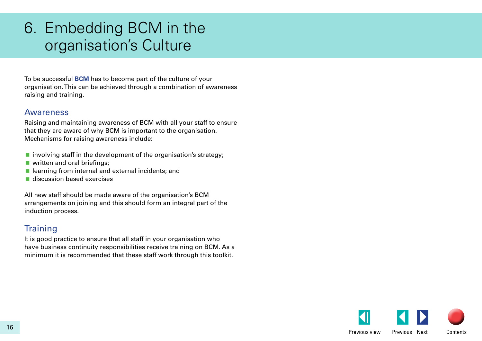## <span id="page-15-0"></span>6. Embedding BCM in the organisation's Culture

To be successful **BCM** has to become part of the culture of your organisation. This can be achieved through a combination of awareness raising and training.

## Awareness

Raising and maintaining awareness of BCM with all your staff to ensure that they are aware of why BCM is important to the organisation. Mechanisms for raising awareness include:

- $\blacksquare$  involving staff in the development of the organisation's strategy;
- **u** written and oral briefings;
- $\blacksquare$  learning from internal and external incidents; and
- discussion based exercises

All new staff should be made aware of the organisation's BCM arrangements on joining and this should form an integral part of the induction process.

## **Training**

It is good practice to ensure that all staff in your organisation who have business continuity responsibilities receive training on BCM. As a minimum it is recommended that these staff work through this toolkit.

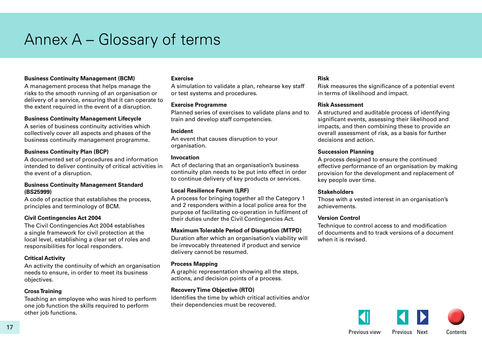## <span id="page-16-0"></span>Annex A – Glossary of terms

### **Business Continuity Management (BCM)**

A management process that helps manage the risks to the smooth running of an organisation or delivery of a service, ensuring that it can operate to the extent required in the event of a disruption.

#### **Business Continuity Management Lifecycle**

A series of business continuity activities which collectively cover all aspects and phases of the business continuity management programme.

### **Business Continuity Plan (BCP)**

A documented set of procedures and information intended to deliver continuity of critical activities in the event of a disruption.

#### **Business Continuity Management Standard (BS25999)**

A code of practice that establishes the process, principles and terminology of BCM.

### **Civil Contingencies Act 2004**

The Civil Contingencies Act 2004 establishes a single framework for civil protection at the local level, establishing a clear set of roles and responsibilities for local responders.

### **Critical Activity**

An activity the continuity of which an organisation needs to ensure, in order to meet its business objectives.

#### **Cross Training**

Teaching an employee who was hired to perform one job function the skills required to perform other job functions.

#### **Exercise**

A simulation to validate a plan, rehearse key staff or test systems and procedures.

#### **Exercise Programme**

Planned series of exercises to validate plans and to train and develop staff competencies.

### **Incident**

An event that causes disruption to your organisation.

#### **Invocation**

Act of declaring that an organisation's business continuity plan needs to be put into effect in order to continue delivery of key products or services.

### **Local Resilience Forum (LRF)**

A process for bringing together all the Category 1 and 2 responders within a local police area for the purpose of facilitating co-operation in fulfilment of their duties under the Civil Contingencies Act.

#### **Maximum Tolerable Period of Disruption (MTPD)**

Duration after which an organisation's viability will be irrevocably threatened if product and service delivery cannot be resumed.

#### **Process Mapping**

A graphic representation showing all the steps, actions, and decision points of a process.

### **Recovery Time Objective (RTO)**

Identifies the time by which critical activities and/or their dependencies must be recovered.

#### **Risk**

Risk measures the significance of a potential event in terms of likelihood and impact.

#### **Risk Assessment**

A structured and auditable process of identifying significant events, assessing their likelihood and impacts, and then combining these to provide an overall assessment of risk, as a basis for further decisions and action.

#### **Succession Planning**

A process designed to ensure the continued effective performance of an organisation by making provision for the development and replacement of key people over time.

### **Stakeholders**

Those with a vested interest in an organisation's achievements.

#### **Version Control**

Technique to control access to and modification of documents and to track versions of a document when it is revised.

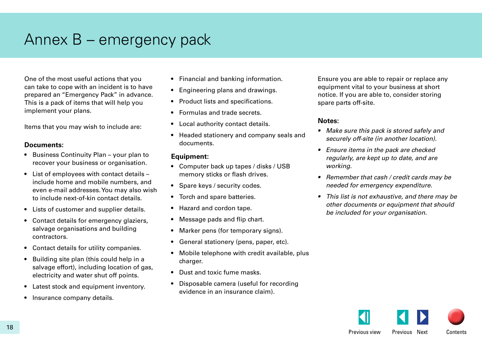## <span id="page-17-0"></span>Annex B – emergency pack

One of the most useful actions that you can take to cope with an incident is to have prepared an "Emergency Pack" in advance. This is a pack of items that will help you implement your plans.

Items that you may wish to include are:

### **Documents:**

- Business Continuity Plan your plan to recover your business or organisation.
- List of employees with contact details include home and mobile numbers, and even e-mail addresses. You may also wish to include next-of-kin contact details.
- Lists of customer and supplier details.
- Contact details for emergency glaziers, salvage organisations and building contractors.
- • Contact details for utility companies.
- Building site plan (this could help in a salvage effort), including location of gas, electricity and water shut off points.
- Latest stock and equipment inventory.
- Insurance company details.
- Financial and banking information.
- Engineering plans and drawings.
- Product lists and specifications.
- • Formulas and trade secrets.
- Local authority contact details.
- • Headed stationery and company seals and documents.

### **Equipment:**

- Computer back up tapes / disks / USB memory sticks or flash drives.
- Spare keys / security codes.
- Torch and spare batteries.
- Hazard and cordon tape.
- Message pads and flip chart.
- Marker pens (for temporary signs).
- General stationery (pens, paper, etc).
- Mobile telephone with credit available, plus charger.
- Dust and toxic fume masks.
- • Disposable camera (useful for recording evidence in an insurance claim).

Ensure you are able to repair or replace any equipment vital to your business at short notice. If you are able to, consider storing spare parts off-site.

## **Notes:**

- • *Make sure this pack is stored safely and securely off-site (in another location).*
- • *Ensure items in the pack are checked regularly, are kept up to date, and are working.*
- • *Remember that cash / credit cards may be needed for emergency expenditure.*
- • *This list is not exhaustive, and there may be other documents or equipment that should be included for your organisation.*